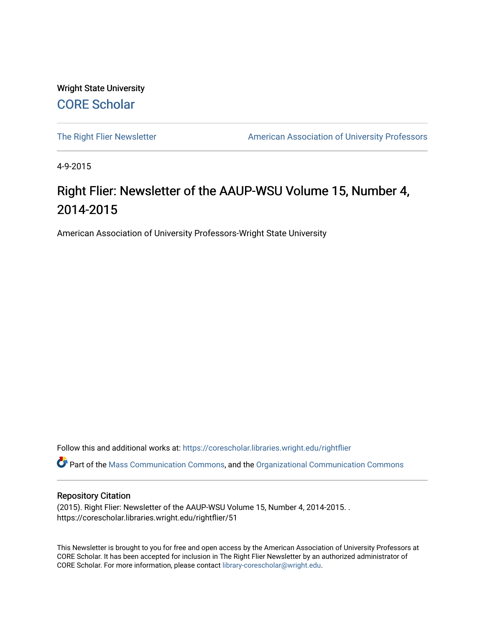Wright State University [CORE Scholar](https://corescholar.libraries.wright.edu/)

[The Right Flier Newsletter](https://corescholar.libraries.wright.edu/rightflier) **American Association of University Professors** 

4-9-2015

#### Right Flier: Newsletter of the AAUP-WSU Volume 15, Number 4, 2014-2015

American Association of University Professors-Wright State University

Follow this and additional works at: [https://corescholar.libraries.wright.edu/rightflier](https://corescholar.libraries.wright.edu/rightflier?utm_source=corescholar.libraries.wright.edu%2Frightflier%2F51&utm_medium=PDF&utm_campaign=PDFCoverPages) 

Part of the [Mass Communication Commons,](http://network.bepress.com/hgg/discipline/334?utm_source=corescholar.libraries.wright.edu%2Frightflier%2F51&utm_medium=PDF&utm_campaign=PDFCoverPages) and the [Organizational Communication Commons](http://network.bepress.com/hgg/discipline/335?utm_source=corescholar.libraries.wright.edu%2Frightflier%2F51&utm_medium=PDF&utm_campaign=PDFCoverPages) 

#### Repository Citation

(2015). Right Flier: Newsletter of the AAUP-WSU Volume 15, Number 4, 2014-2015. . https://corescholar.libraries.wright.edu/rightflier/51

This Newsletter is brought to you for free and open access by the American Association of University Professors at CORE Scholar. It has been accepted for inclusion in The Right Flier Newsletter by an authorized administrator of CORE Scholar. For more information, please contact [library-corescholar@wright.edu](mailto:library-corescholar@wright.edu).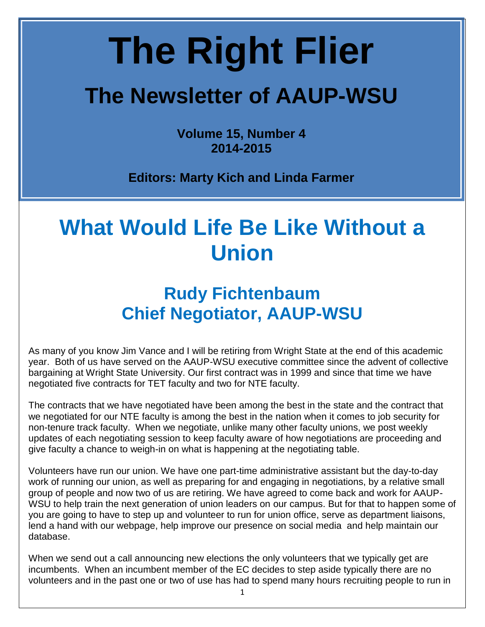# **The Right Flier**

## **The Newsletter of AAUP-WSU**

**Volume 15, Number 4 2014-2015** 

 **Editors: Marty Kich and Linda Farmer** 

# **What Would Life Be Like Without a Union**

### **Rudy Fichtenbaum Chief Negotiator, AAUP-WSU**

 As many of you know Jim Vance and I will be retiring from Wright State at the end of this academic negotiated five contracts for TET faculty and two for NTE faculty. year. Both of us have served on the AAUP-WSU executive committee since the advent of collective bargaining at Wright State University. Our first contract was in 1999 and since that time we have

 The contracts that we have negotiated have been among the best in the state and the contract that non-tenure track faculty. When we negotiate, unlike many other faculty unions, we post weekly updates of each negotiating session to keep faculty aware of how negotiations are proceeding and we negotiated for our NTE faculty is among the best in the nation when it comes to job security for give faculty a chance to weigh-in on what is happening at the negotiating table.

 group of people and now two of us are retiring. We have agreed to come back and work for AAUP- you are going to have to step up and volunteer to run for union office, serve as department liaisons, Volunteers have run our union. We have one part-time administrative assistant but the day-to-day work of running our union, as well as preparing for and engaging in negotiations, by a relative small WSU to help train the next generation of union leaders on our campus. But for that to happen some of lend a hand with our webpage, help improve our presence on social media and help maintain our database.

 incumbents. When an incumbent member of the EC decides to step aside typically there are no When we send out a call announcing new elections the only volunteers that we typically get are volunteers and in the past one or two of use has had to spend many hours recruiting people to run in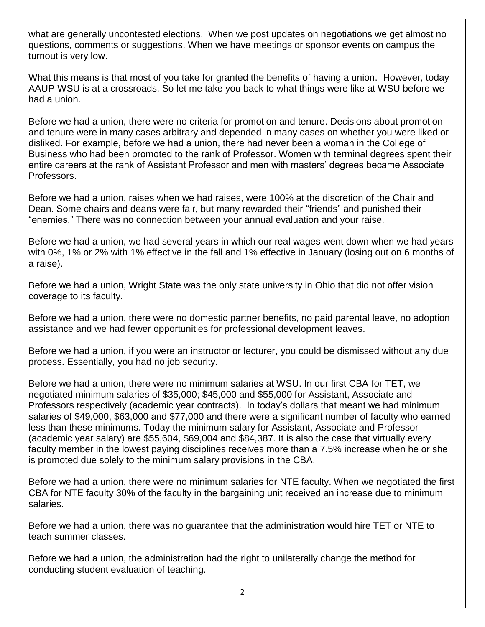turnout is very low. what are generally uncontested elections. When we post updates on negotiations we get almost no questions, comments or suggestions. When we have meetings or sponsor events on campus the

 had a union. What this means is that most of you take for granted the benefits of having a union. However, today AAUP-WSU is at a crossroads. So let me take you back to what things were like at WSU before we

Before we had a union, there were no criteria for promotion and tenure. Decisions about promotion and tenure were in many cases arbitrary and depended in many cases on whether you were liked or disliked. For example, before we had a union, there had never been a woman in the College of Business who had been promoted to the rank of Professor. Women with terminal degrees spent their entire careers at the rank of Assistant Professor and men with masters' degrees became Associate Professors.

 Dean. Some chairs and deans were fair, but many rewarded their "friends" and punished their Before we had a union, raises when we had raises, were 100% at the discretion of the Chair and "enemies." There was no connection between your annual evaluation and your raise.

 with 0%, 1% or 2% with 1% effective in the fall and 1% effective in January (losing out on 6 months of Before we had a union, we had several years in which our real wages went down when we had years a raise).

 Before we had a union, Wright State was the only state university in Ohio that did not offer vision coverage to its faculty.

Before we had a union, there were no domestic partner benefits, no paid parental leave, no adoption assistance and we had fewer opportunities for professional development leaves.

Before we had a union, if you were an instructor or lecturer, you could be dismissed without any due process. Essentially, you had no job security.

 (academic year salary) are \$55,604, \$69,004 and \$84,387. It is also the case that virtually every Before we had a union, there were no minimum salaries at WSU. In our first CBA for TET, we negotiated minimum salaries of \$35,000; \$45,000 and \$55,000 for Assistant, Associate and Professors respectively (academic year contracts). In today's dollars that meant we had minimum salaries of \$49,000, \$63,000 and \$77,000 and there were a significant number of faculty who earned less than these minimums. Today the minimum salary for Assistant, Associate and Professor faculty member in the lowest paying disciplines receives more than a 7.5% increase when he or she is promoted due solely to the minimum salary provisions in the CBA.

 Before we had a union, there were no minimum salaries for NTE faculty. When we negotiated the first CBA for NTE faculty 30% of the faculty in the bargaining unit received an increase due to minimum salaries.

teach summer classes. Before we had a union, there was no guarantee that the administration would hire TET or NTE to

Before we had a union, the administration had the right to unilaterally change the method for conducting student evaluation of teaching.